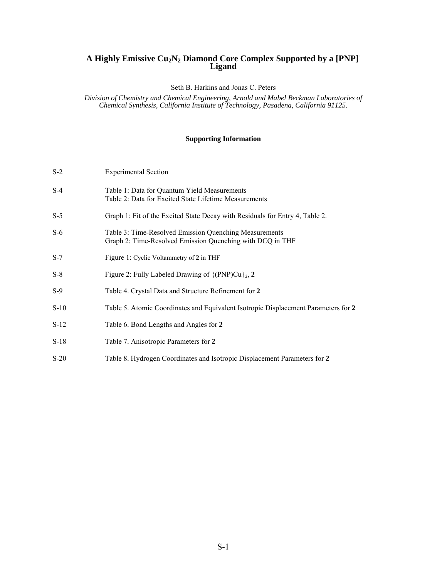# **A Highly Emissive Cu2N2 Diamond Core Complex Supported by a [PNP]- Ligand**

Seth B. Harkins and Jonas C. Peters

*Division of Chemistry and Chemical Engineering, Arnold and Mabel Beckman Laboratories of Chemical Synthesis, California Institute of Technology, Pasadena, California 91125.* 

## **Supporting Information**

| $S-2$  | <b>Experimental Section</b>                                                                                         |
|--------|---------------------------------------------------------------------------------------------------------------------|
| $S-4$  | Table 1: Data for Quantum Yield Measurements<br>Table 2: Data for Excited State Lifetime Measurements               |
| $S-5$  | Graph 1: Fit of the Excited State Decay with Residuals for Entry 4, Table 2.                                        |
| $S-6$  | Table 3: Time-Resolved Emission Quenching Measurements<br>Graph 2: Time-Resolved Emission Quenching with DCQ in THF |
| $S-7$  | Figure 1: Cyclic Voltammetry of 2 in THF                                                                            |
| $S-8$  | Figure 2: Fully Labeled Drawing of $\{(\text{PNP})\text{Cu}\}_2$ , 2                                                |
| $S-9$  | Table 4. Crystal Data and Structure Refinement for 2                                                                |
| $S-10$ | Table 5. Atomic Coordinates and Equivalent Isotropic Displacement Parameters for 2                                  |
| $S-12$ | Table 6. Bond Lengths and Angles for 2                                                                              |
| $S-18$ | Table 7. Anisotropic Parameters for 2                                                                               |
| $S-20$ | Table 8. Hydrogen Coordinates and Isotropic Displacement Parameters for 2                                           |
|        |                                                                                                                     |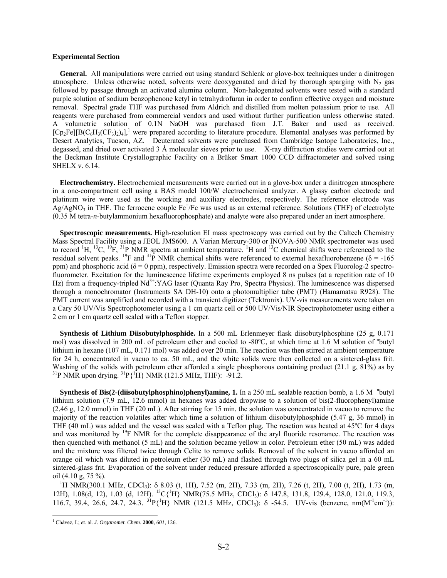#### **Experimental Section**

**General.** All manipulations were carried out using standard Schlenk or glove-box techniques under a dinitrogen atmosphere. Unless otherwise noted, solvents were deoxygenated and dried by thorough sparging with  $N_2$  gas followed by passage through an activated alumina column. Non-halogenated solvents were tested with a standard purple solution of sodium benzophenone ketyl in tetrahydrofuran in order to confirm effective oxygen and moisture removal. Spectral grade THF was purchased from Aldrich and distilled from molten potassium prior to use. All reagents were purchased from commercial vendors and used without further purification unless otherwise stated. A volumetric solution of 0.1N NaOH was purchased from J.T. Baker and used as received.  $[Cp_2Fe][B(C_6H_3(CF_3)_2)_4]$ ,<sup>1</sup> were prepared according to literature procedure. Elemental analyses was performed by Desert Analytics, Tucson, AZ. Deuterated solvents were purchased from Cambridge Isotope Laboratories, Inc., degassed, and dried over activated 3 Å molecular sieves prior to use. X-ray diffraction studies were carried out at the Beckman Institute Crystallographic Facility on a Brüker Smart 1000 CCD diffractometer and solved using SHELX v. 6.14.

**Electrochemistry.** Electrochemical measurements were carried out in a glove-box under a dinitrogen atmosphere in a one-compartment cell using a BAS model 100/W electrochemical analyzer. A glassy carbon electrode and platinum wire were used as the working and auxiliary electrodes, respectively. The reference electrode was  $Ag/AgNO<sub>3</sub>$  in THF. The ferrocene couple  $Fc^+/Fc$  was used as an external reference. Solutions (THF) of electrolyte (0.35 M tetra-*n*-butylammonium hexafluorophosphate) and analyte were also prepared under an inert atmosphere.

**Spectroscopic measurements.** High-resolution EI mass spectroscopy was carried out by the Caltech Chemistry Mass Spectral Facility using a JEOL JMS600. A Varian Mercury-300 or INOVA-500 NMR spectrometer was used to record  ${}^{1}H$ ,  ${}^{13}C$ ,  ${}^{19}F$ ,  ${}^{31}P$  NMR spectra at ambient temperature.  ${}^{1}H$  and  ${}^{13}C$  chemical shifts were referenced to the residual solvent peaks. <sup>19</sup>F and <sup>31</sup>P NMR chemical shifts were referenced to external hexafluorobenzene ( $\delta$  = -165 ppm) and phosphoric acid ( $\delta = 0$  ppm), respectively. Emission spectra were recorded on a Spex Fluorolog-2 spectrofluorometer. Excitation for the luminescence lifetime experiments employed 8 ns pulses (at a repetition rate of 10 Hz) from a frequency-tripled Nd<sup>3+</sup>:YAG laser (Quanta Ray Pro, Spectra Physics). The luminescence was dispersed through a monochromator (Instruments SA DH-10) onto a photomultiplier tube (PMT) (Hamamatsu R928). The PMT current was amplified and recorded with a transient digitizer (Tektronix). UV-vis measurements were taken on a Cary 50 UV/Vis Spectrophotometer using a 1 cm quartz cell or 500 UV/Vis/NIR Spectrophotometer using either a 2 cm or 1 cm quartz cell sealed with a Teflon stopper.

**Synthesis of Lithium Diisobutylphosphide.** In a 500 mL Erlenmeyer flask diisobutylphosphine (25 g, 0.171 mol) was dissolved in 200 mL of petroleum ether and cooled to -80°C, at which time at 1.6 M solution of "butyl lithium in hexane (107 mL, 0.171 mol) was added over 20 min. The reaction was then stirred at ambient temperature for 24 h, concentrated in vacuo to ca. 50 mL, and the white solids were then collected on a sintered-glass frit. Washing of the solids with petroleum ether afforded a single phosphorous containing product  $(21.1 \text{ g}, 81\%)$  as by  $^{31}P$  NMR upon drying,  $^{31}P\{^{1}H\}$  NMR (121.5 MHz, THF): -91.2.

**Synthesis of Bis(2-(diisobutylphosphino)phenyl)amine, 1.** In a 250 mL sealable reaction bomb, a 1.6 M <sup>n</sup>butyl lithium solution (7.9 mL, 12.6 mmol) in hexanes was added dropwise to a solution of bis(2-fluorophenyl)amine (2.46 g, 12.0 mmol) in THF (20 mL). After stirring for 15 min, the solution was concentrated in vacuo to remove the majority of the reaction volatiles after which time a solution of lithium diisobutylphosphide (5.47 g, 36 mmol) in THF (40 mL) was added and the vessel was sealed with a Teflon plug. The reaction was heated at 45ºC for 4 days and was monitored by <sup>19</sup>F NMR for the complete disappearance of the aryl fluoride resonance. The reaction was then quenched with methanol (5 mL) and the solution became yellow in color. Petroleum ether (50 mL) was added and the mixture was filtered twice through Celite to remove solids. Removal of the solvent in vacuo afforded an orange oil which was diluted in petroleum ether (30 mL) and flashed through two plugs of silica gel in a 60 mL sintered-glass frit. Evaporation of the solvent under reduced pressure afforded a spectroscopically pure, pale green oil (4.10 g, 75 %).

<sup>1</sup>H NMR(300.1 MHz, CDCl<sub>3</sub>): δ 8.03 (t, 1H), 7.52 (m, 2H), 7.33 (m, 2H), 7.26 (t, 2H), 7.00 (t, 2H), 1.73 (m, 12H), 1.08(d, 12), 1.03 (d, 12H). <sup>13</sup>C{<sup>1</sup>H} NMR(75.5 MHz, CDCl<sub>3</sub>): δ 147.8, 131.8, 129.4, 128.0, 121.0, 119.3, 116.7, 39.4, 26.6, 24.7, 24.3. <sup>31</sup> $P{\text{H}}$  NMR (121.5 MHz, CDCl<sub>3</sub>): δ -54.5. UV-vis (benzene, nm(M<sup>-1</sup>cm<sup>-1</sup>)):

<span id="page-1-0"></span> 1 Chảvez, I.; et. al. *J. Organomet. Chem*. **2000**, *601*, 126.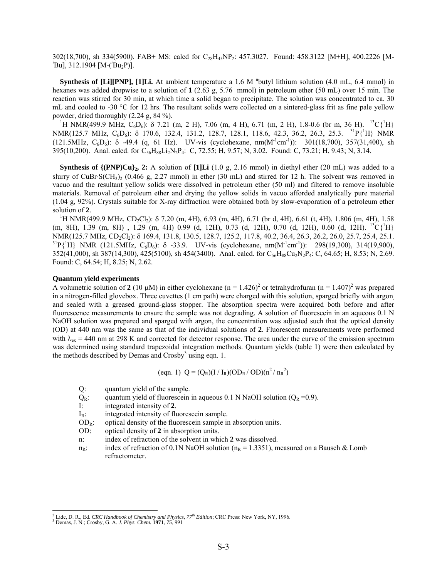302(18,700), sh 334(5900). FAB+ MS: calcd for C<sub>28</sub>H<sub>45</sub>NP<sub>2</sub>: 457.3027. Found: 458.3122 [M+H], 400.2226 [M-Bu], 312.1904 [M-(<sup>*i*</sup>Bu<sub>2</sub>P)].

**Synthesis of [Li][PNP], [1]Li.** At ambient temperature a 1.6 M <sup>n</sup>butyl lithium solution (4.0 mL, 6.4 mmol) in hexanes was added dropwise to a solution of **1** (2.63 g, 5.76 mmol) in petroleum ether (50 mL) over 15 min. The reaction was stirred for 30 min, at which time a solid began to precipitate. The solution was concentrated to ca. 30 mL and cooled to -30 °C for 12 hrs. The resultant solids were collected on a sintered-glass frit as fine pale yellow powder, dried thoroughly (2.24 g, 84 %). 1

H NMR(499.9 MHz,  $C_6D_6$ ): δ 7.21 (m, 2 H), 7.06 (m, 4 H), 6.71 (m, 2 H), 1.8-0.6 (br m, 36 H).  $^{13}C(^{1}H)$  $NMR(125.7 MHz, C_6D_6): \delta$  170.6, 132.4, 131.2, 128.7, 128.1, 118.6, 42.3, 36.2, 26.3, 25.3. <sup>31</sup>P{<sup>1</sup>H} NMR  $(121.5MHz, C_6D_6)$ : δ -49.4 (q, 61 Hz). UV-vis (cyclohexane, nm( $M^{-1}cm^{-1}$ )): 301(18,700), 357(31,400), sh 395(10,200). Anal. calcd. for C<sub>56</sub>H<sub>88</sub>Li<sub>2</sub>N<sub>2</sub>P<sub>4</sub>: C, 72.55; H, 9.57; N, 3.02. Found: C, 73.21; H, 9.43; N, 3.14.

**Synthesis of**  $\{(\text{PNP})\text{Cu}\}_2$ **, 2:** A solution of  $[1]\text{Li} (1.0 \text{ g}, 2.16 \text{ mmol})$  in diethyl ether (20 mL) was added to a slurry of CuBr⋅S(CH<sub>3</sub>)<sub>2</sub> (0.466 g, 2.27 mmol) in ether (30 mL) and stirred for 12 h. The solvent was removed in vacuo and the resultant yellow solids were dissolved in petroleum ether (50 ml) and filtered to remove insoluble materials. Removal of petroleum ether and drying the yellow solids in vacuo afforded analytically pure material (1.04 g, 92%). Crystals suitable for X-ray diffraction were obtained both by slow-evaporation of a petroleum ether solution of 2.

 ${}^{1}$ H NMR(499.9 MHz, CD<sub>2</sub>Cl<sub>2</sub>): δ 7.20 (m, 4H), 6.93 (m, 4H), 6.71 (br d, 4H), 6.61 (t, 4H), 1.806 (m, 4H), 1.58  $(m, 8H), 1.39$   $(m, 8H)$  , 1.29  $(m, 4H)$  0.99  $(d, 12H), 0.73$   $(d, 12H), 0.70$   $(d, 12H), 0.60$   $(d, 12H).$   ${}^{13}C\{{}^{1}H\}$ NMR(125.7 MHz, CD<sub>2</sub>Cl<sub>2</sub>): δ 169.4, 131.8, 130.5, 128.7, 125.2, 117.8, 40.2, 36.4, 26.3, 26.2, 26.0, 25.7, 25.4, 25.1.<br><sup>31</sup>P{<sup>1</sup>H} NMR (121.5MHz, C<sub>6</sub>D<sub>6</sub>): δ -33.9. UV-vis (cyclohexane, nm(M<sup>-1</sup>cm<sup>-1</sup>)): 298(19,300), 31  $352(41,000)$ , sh  $387(14,300)$ ,  $425(5100)$ , sh  $454(3400)$ . Anal. calcd. for  $C_{56}H_{88}Cu_2N_2P_4$ : C,  $64.65$ ; H,  $8.53$ ; N,  $2.69$ . Found: C, 64.54; H, 8.25; N, 2.62.

#### **Quantum yield experiments**

A volumetric solution of [2](#page-2-0) (10  $\mu$ M) in either cyclohexane (n = 1.426)<sup>2</sup> or tetrahydrofuran (n = 1.407)<sup>2</sup> was prepared in a nitrogen-filled glovebox. Three cuvettes (1 cm path) were charged with this solution, sparged briefly with argon and sealed with a greased ground-glass stopper. The absorption spectra were acquired both before and after fluorescence measurements to ensure the sample was not degrading. A solution of fluorescein in an aqueous 0.1 N NaOH solution was prepared and sparged with argon, the concentration was adjusted such that the optical density (OD) at 440 nm was the same as that of the individual solutions of **2**. Fluorescent measurements were performed with  $\lambda_{\rm ex}$  = 440 nm at 298 K and corrected for detector response. The area under the curve of the emission spectrum was determined using standard trapezoidal integration methods. Quantum yields (table 1) were then calculated by the methods described by Demas and Crosby<sup>3</sup> using eqn. 1.

<span id="page-2-0"></span>
$$
(eqn. 1) Q = (Q_R)(I / I_R)(OD_R / OD)(n^2 / n_R^2)
$$

Q: quantum yield of the sample.

- $Q_R$ : quantum yield of fluorescein in aqueous 0.1 N NaOH solution ( $Q_R = 0.9$ ).<br>I: integrated intensity of 2.
- integrated intensity of 2.
- $I_R$ : integrated intensity of fluorescein sample.<br>OD<sub>p</sub>: optical density of the fluorescein sample in

optical density of the fluorescein sample in absorption units.

- OD: optical density of **2** in absorption units.
- n: index of refraction of the solvent in which **2** was dissolved.
- $n_R$ : index of refraction of 0.1N NaOH solution ( $n_R = 1.3351$ ), measured on a Bausch & Lomb refractometer.

<sup>&</sup>lt;sup>2</sup> Lide, D. R., Ed. *CRC Handbook of Chemistry and Physics, 77<sup>th</sup> Edition*; CRC Press: New York, NY, 1996.

<span id="page-2-2"></span><span id="page-2-1"></span>Demas, J. N.; Crosby, G. A. *J. Phys. Chem.* **1971**, *75*, 991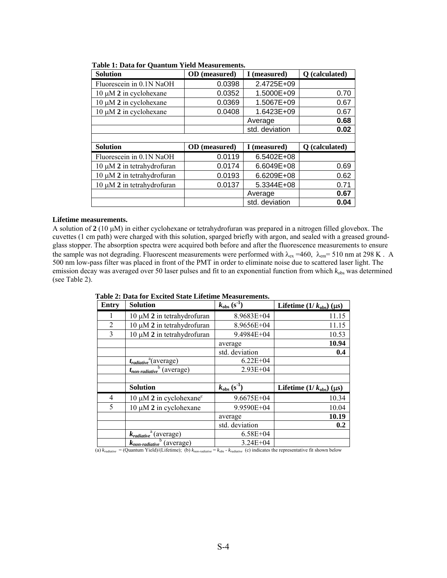| <b>Solution</b>                 | OD (measured)        | I (measured)   | Q (calculated) |
|---------------------------------|----------------------|----------------|----------------|
| Fluorescein in 0.1N NaOH        | 0.0398               | 2.4725E+09     |                |
| $10 \mu M$ 2 in cyclohexane     | 0.0352               | 1.5000E+09     | 0.70           |
| $10 \mu M$ 2 in cyclohexane     | 0.0369               | 1.5067E+09     | 0.67           |
| $10 \mu M$ 2 in cyclohexane     | 0.0408               | 1.6423E+09     | 0.67           |
|                                 |                      | Average        | 0.68           |
|                                 |                      | std. deviation | 0.02           |
|                                 |                      |                |                |
| <b>Solution</b>                 | <b>OD</b> (measured) | I (measured)   | Q (calculated) |
|                                 |                      |                |                |
| Fluorescein in 0.1N NaOH        | 0.0119               | $6.5402E + 08$ |                |
| $10 \mu M$ 2 in tetrahydrofuran | 0.0174               | 6.6049E+08     | 0.69           |
| $10 \mu M$ 2 in tetrahydrofuran | 0.0193               | 6.6209E+08     | 0.62           |
| $10 \mu M$ 2 in tetrahydrofuran | 0.0137               | 5.3344E+08     | 0.71           |
|                                 |                      | Average        | 0.67           |

| Table 1: Data for Quantum Yield Measurements. |  |  |  |
|-----------------------------------------------|--|--|--|
|-----------------------------------------------|--|--|--|

### **Lifetime measurements.**

A solution of **2** (10 µM) in either cyclohexane or tetrahydrofuran was prepared in a nitrogen filled glovebox. The cuvettes (1 cm path) were charged with this solution, sparged briefly with argon, and sealed with a greased groundglass stopper. The absorption spectra were acquired both before and after the fluorescence measurements to ensure the sample was not degrading. Fluorescent measurements were performed with  $\lambda_{ex}$  =460,  $\lambda_{em}$ = 510 nm at 298 K. A 500 nm low-pass filter was placed in front of the PMT in order to eliminate noise due to scattered laser light. The emission decay was averaged over 50 laser pulses and fit to an exponential function from which  $k_{obs}$  was determined (see Table 2).

| <b>Entry</b>   | <b>Solution</b>                                 | $k_{\text{obs}}$ (s <sup>-1</sup> ) | Lifetime $(1/k_{obs})$ (µs) |
|----------------|-------------------------------------------------|-------------------------------------|-----------------------------|
|                | $10 \mu M$ 2 in tetrahydrofuran                 | 8.9683E+04                          | 11.15                       |
| $\overline{2}$ | $10 \mu M$ 2 in tetrahydrofuran                 | 8.9656E+04                          | 11.15                       |
| 3              | $10 \mu M$ 2 in tetrahydrofuran                 | 9.4984E+04                          | 10.53                       |
|                |                                                 | average                             | 10.94                       |
|                |                                                 | std. deviation                      | 0.4                         |
|                | $t_{radiative}$ <sup>a</sup> (average)          | $6.22E + 04$                        |                             |
|                | $t_{non\text{-}radiative}^{\qquad b}$ (average) | $2.93E + 04$                        |                             |
|                |                                                 |                                     |                             |
|                | <b>Solution</b>                                 | $k_{\text{obs}}$ (s <sup>-1</sup> ) | Lifetime $(1/k_{obs})$ (µs) |
| 4              | $10 \mu M$ 2 in cyclohexane <sup>c</sup>        | 9.6675E+04                          | 10.34                       |
| 5              | $10 \mu M$ 2 in cyclohexane                     | 9.9590E+04                          | 10.04                       |
|                |                                                 | average                             | 10.19                       |
|                |                                                 | std. deviation                      | 0.2                         |
|                | $k_{radiative}$ <sup>a</sup> (average)          | $6.58E + 04$                        |                             |
|                | $k_{non\text{-}radiative}^{\dagger}$ (average)  | $3.24E + 04$                        |                             |

**Table 2: Data for Excited State Lifetime Measurements.**

(a)  $k_{radiative} = (Quantum Yield)/(Lifetime)$ ; (b)  $k_{non-radiative} = k_{obs} - k_{radiative}$  (c) indicates the representative fit shown below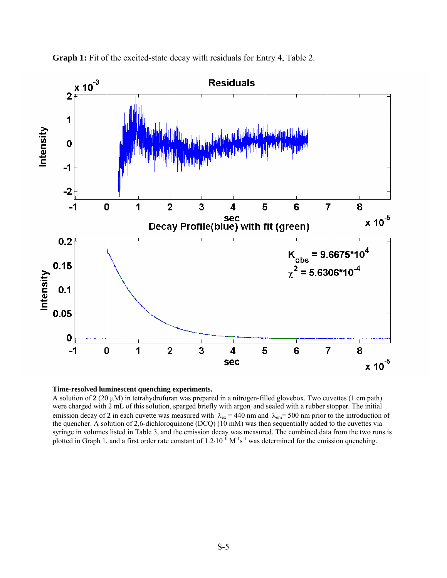

**Graph 1:** Fit of the excited-state decay with residuals for Entry 4, Table 2.



A solution of **2** (20 µM) in tetrahydrofuran was prepared in a nitrogen-filled glovebox. Two cuvettes (1 cm path) were charged with 2 mL of this solution, sparged briefly with argon, and sealed with a rubber stopper. The initial emission decay of **2** in each cuvette was measured with  $\lambda_{ex} = 440$  nm and  $\lambda_{em} = 500$  nm prior to the introduction of the quencher. A solution of 2,6-dichloroquinone (DCQ) (10 mM) was then sequentially added to the cuvettes via syringe in volumes listed in Table 3, and the emission decay was measured. The combined data from the two runs is plotted in Graph 1, and a first order rate constant of  $1.2 \cdot 10^{10}$  M<sup>-1</sup>s<sup>-1</sup> was determined for the emission quenching.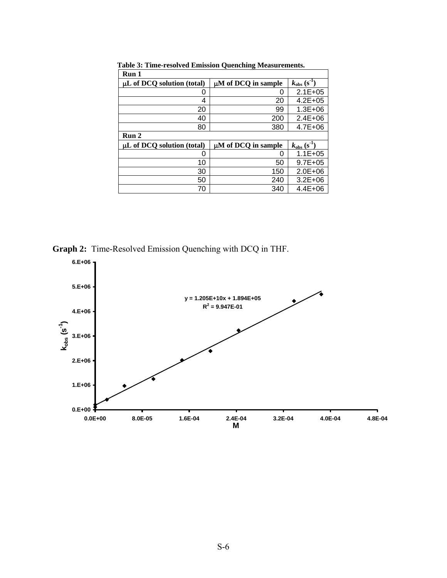| Run 1                           |                          |                                     |
|---------------------------------|--------------------------|-------------------------------------|
| $\mu$ L of DCQ solution (total) | µM of DCQ in sample      | $k_{\rm obs}$ (s <sup>-1</sup> )    |
| O                               | O                        | $2.1E + 0.5$                        |
| 4                               | 20                       | $4.2E + 0.5$                        |
| 20                              | 99                       | $1.3E + 06$                         |
| 40                              | 200                      | $2.4E + 06$                         |
| 80                              | 380                      | $4.7E + 06$                         |
| Run 2                           |                          |                                     |
| $\mu L$ of DCQ solution (total) | $\mu$ M of DCQ in sample | $k_{\text{obs}}$ (s <sup>-1</sup> ) |
| 0                               | ი                        | $1.1E + 05$                         |
| 10                              | 50                       | $9.7E + 0.5$                        |
| 30                              | 150                      | $2.0E + 06$                         |
| 50                              | 240                      | $3.2E + 06$                         |
| 70                              | 340                      | $4.4E + 06$                         |

 **Table 3: Time-resolved Emission Quenching Measurements.**

**Graph 2:** Time-Resolved Emission Quenching with DCQ in THF.

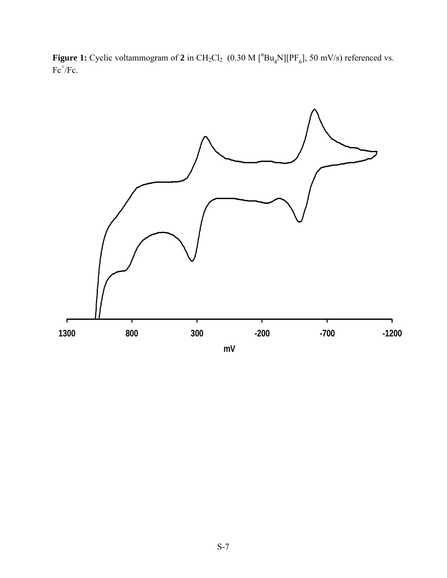**Figure 1:** Cyclic voltammogram of 2 in  $CH_2Cl_2$  (0.30 M  $[^nBu_4N][PF_6]$ , 50 mV/s) referenced vs.  $Fc^+/Fc$ .

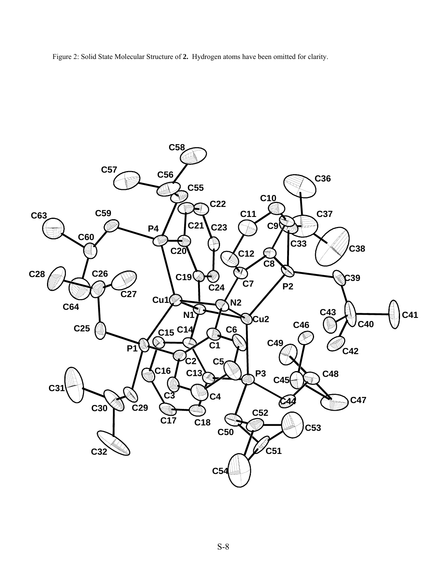Figure 2: Solid State Molecular Structure of **2.** Hydrogen atoms have been omitted for clarity.

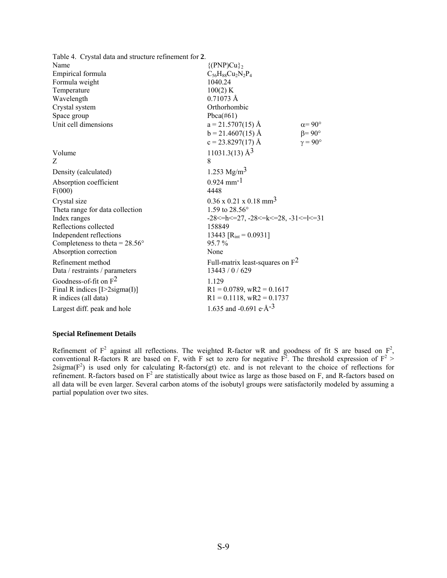| Table 4. Crystal data and structure refinement for 2. |                                                  |                       |
|-------------------------------------------------------|--------------------------------------------------|-----------------------|
| Name                                                  | ${PNP}$ $Cu$ <sub>2</sub>                        |                       |
| Empirical formula                                     | $C_{56}H_{88}Cu_2N_2P_4$                         |                       |
| Formula weight                                        | 1040.24                                          |                       |
| Temperature                                           | 100(2) K                                         |                       |
| Wavelength                                            | $0.71073 \text{ Å}$                              |                       |
| Crystal system                                        | Orthorhombic                                     |                       |
| Space group                                           | Pbca $(\#61)$                                    |                       |
| Unit cell dimensions                                  | $a = 21.5707(15)$ Å                              | $\alpha = 90^{\circ}$ |
|                                                       | $b = 21.4607(15)$ Å                              | $\beta = 90^\circ$    |
|                                                       | $c = 23.8297(17)$ Å                              | $v = 90^{\circ}$      |
| Volume                                                | $11031.3(13)$ Å <sup>3</sup>                     |                       |
| Z                                                     | 8                                                |                       |
| Density (calculated)                                  | 1.253 Mg/m <sup>3</sup>                          |                       |
| Absorption coefficient                                | $0.924$ mm <sup>-1</sup>                         |                       |
| F(000)                                                | 4448                                             |                       |
| Crystal size                                          | $0.36 \times 0.21 \times 0.18$ mm <sup>3</sup>   |                       |
| Theta range for data collection                       | 1.59 to $28.56^{\circ}$                          |                       |
| Index ranges                                          | $-28 < = h < 27, -28 < = k < 28, -31 < = k < 31$ |                       |
| Reflections collected                                 | 158849                                           |                       |
| Independent reflections                               | 13443 $[R_{int} = 0.0931]$                       |                       |
| Completeness to theta = $28.56^{\circ}$               | $95.7\%$                                         |                       |
| Absorption correction                                 | None                                             |                       |
| Refinement method                                     | Full-matrix least-squares on $F^2$               |                       |
| Data / restraints / parameters                        | 13443 / 0 / 629                                  |                       |
| Goodness-of-fit on $F^2$                              | 1.129                                            |                       |
| Final R indices $[1>2$ sigma $(I)$ ]                  | $R1 = 0.0789$ , wR2 = 0.1617                     |                       |
| R indices (all data)                                  | $R1 = 0.1118$ , wR2 = 0.1737                     |                       |
| Largest diff. peak and hole                           | 1.635 and -0.691 e· $\AA$ <sup>-3</sup>          |                       |

# **Special Refinement Details**

Refinement of  $F^2$  against all reflections. The weighted R-factor wR and goodness of fit S are based on  $F^2$ , conventional R-factors R are based on F, with F set to zero for negative  $F^2$ . The threshold expression of  $F^2$  >  $2$ sigma( $F<sup>2</sup>$ ) is used only for calculating R-factors(gt) etc. and is not relevant to the choice of reflections for refinement. R-factors based on  $F^2$  are statistically about twice as large as those based on F, and R-factors based on all data will be even larger. Several carbon atoms of the isobutyl groups were satisfactorily modeled by assuming a partial population over two sites.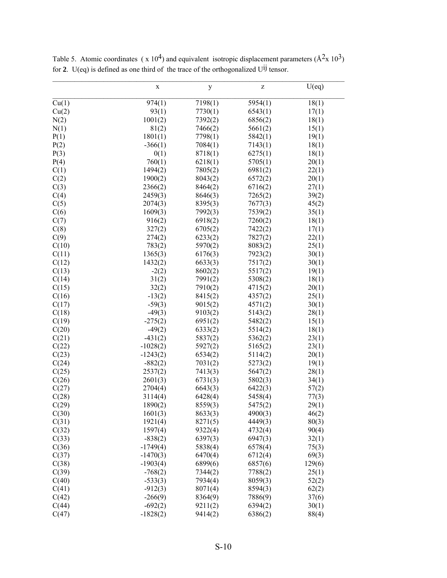|       | $\mathbf X$ | y       | Z       | U(eq)  |
|-------|-------------|---------|---------|--------|
| Cu(1) | 974(1)      | 7198(1) | 5954(1) | 18(1)  |
| Cu(2) | 93(1)       | 7730(1) | 6543(1) | 17(1)  |
| N(2)  | 1001(2)     | 7392(2) | 6856(2) | 18(1)  |
| N(1)  | 81(2)       | 7466(2) | 5661(2) | 15(1)  |
| P(1)  | 1801(1)     | 7798(1) | 5842(1) | 19(1)  |
| P(2)  | $-366(1)$   | 7084(1) | 7143(1) | 18(1)  |
| P(3)  | 0(1)        | 8718(1) | 6275(1) | 18(1)  |
| P(4)  | 760(1)      | 6218(1) | 5705(1) | 20(1)  |
| C(1)  | 1494(2)     | 7805(2) | 6981(2) | 22(1)  |
| C(2)  | 1900(2)     | 8043(2) | 6572(2) | 20(1)  |
| C(3)  | 2366(2)     | 8464(2) | 6716(2) | 27(1)  |
| C(4)  | 2459(3)     | 8646(3) | 7265(2) | 39(2)  |
| C(5)  | 2074(3)     | 8395(3) | 7677(3) | 45(2)  |
| C(6)  | 1609(3)     | 7992(3) | 7539(2) | 35(1)  |
| C(7)  | 916(2)      | 6918(2) | 7260(2) | 18(1)  |
| C(8)  | 327(2)      | 6705(2) | 7422(2) | 17(1)  |
| C(9)  | 274(2)      | 6233(2) | 7827(2) | 22(1)  |
| C(10) | 783(2)      | 5970(2) | 8083(2) | 25(1)  |
| C(11) | 1365(3)     | 6176(3) | 7923(2) | 30(1)  |
| C(12) | 1432(2)     | 6633(3) | 7517(2) | 30(1)  |
| C(13) | $-2(2)$     | 8602(2) | 5517(2) | 19(1)  |
| C(14) | 31(2)       | 7991(2) | 5308(2) | 18(1)  |
| C(15) | 32(2)       | 7910(2) | 4715(2) | 20(1)  |
| C(16) | $-13(2)$    | 8415(2) | 4357(2) | 25(1)  |
| C(17) | $-59(3)$    | 9015(2) | 4571(2) | 30(1)  |
| C(18) | $-49(3)$    | 9103(2) | 5143(2) | 28(1)  |
| C(19) | $-275(2)$   | 6951(2) | 5482(2) | 15(1)  |
| C(20) | $-49(2)$    | 6333(2) | 5514(2) | 18(1)  |
| C(21) | $-431(2)$   | 5837(2) | 5362(2) | 23(1)  |
| C(22) | $-1028(2)$  | 5927(2) | 5165(2) | 23(1)  |
| C(23) | $-1243(2)$  | 6534(2) | 5114(2) | 20(1)  |
| C(24) | $-882(2)$   | 7031(2) | 5273(2) | 19(1)  |
| C(25) | 2537(2)     | 7413(3) | 5647(2) | 28(1)  |
| C(26) | 2601(3)     | 6731(3) | 5802(3) | 34(1)  |
| C(27) | 2704(4)     | 6643(3) | 6422(3) | 57(2)  |
| C(28) | 3114(4)     | 6428(4) | 5458(4) | 77(3)  |
| C(29) | 1890(2)     | 8559(3) | 5475(2) | 29(1)  |
| C(30) | 1601(3)     | 8633(3) | 4900(3) | 46(2)  |
| C(31) | 1921(4)     | 8271(5) | 4449(3) | 80(3)  |
| C(32) | 1597(4)     | 9322(4) | 4732(4) | 90(4)  |
| C(33) | $-838(2)$   | 6397(3) | 6947(3) | 32(1)  |
| C(36) | $-1749(4)$  | 5838(4) | 6578(4) | 75(3)  |
| C(37) | $-1470(3)$  | 6470(4) | 6712(4) | 69(3)  |
| C(38) | $-1903(4)$  | 6899(6) | 6857(6) | 129(6) |
| C(39) | $-768(2)$   | 7344(2) | 7788(2) | 25(1)  |
| C(40) | $-533(3)$   | 7934(4) | 8059(3) | 52(2)  |
| C(41) | $-912(3)$   | 8071(4) | 8594(3) | 62(2)  |
| C(42) | $-266(9)$   | 8364(9) | 7886(9) | 37(6)  |
| C(44) | $-692(2)$   | 9211(2) | 6394(2) | 30(1)  |
| C(47) | $-1828(2)$  | 9414(2) | 6386(2) | 88(4)  |

Table 5. Atomic coordinates ( $x 10<sup>4</sup>$ ) and equivalent isotropic displacement parameters ( $\AA$ <sup>2</sup>x 10<sup>3</sup>) for **2**. U(eq) is defined as one third of the trace of the orthogonalized  $U^{ij}$  tensor.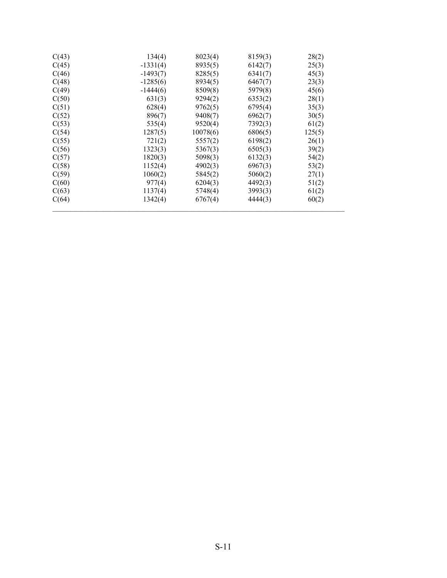| C(43) | 134(4)     | 8023(4)  | 8159(3) | 28(2)  |
|-------|------------|----------|---------|--------|
| C(45) | $-1331(4)$ | 8935(5)  | 6142(7) | 25(3)  |
| C(46) | $-1493(7)$ | 8285(5)  | 6341(7) | 45(3)  |
| C(48) | $-1285(6)$ | 8934(5)  | 6467(7) | 23(3)  |
| C(49) | $-1444(6)$ | 8509(8)  | 5979(8) | 45(6)  |
| C(50) | 631(3)     | 9294(2)  | 6353(2) | 28(1)  |
| C(51) | 628(4)     | 9762(5)  | 6795(4) | 35(3)  |
| C(52) | 896(7)     | 9408(7)  | 6962(7) | 30(5)  |
| C(53) | 535(4)     | 9520(4)  | 7392(3) | 61(2)  |
| C(54) | 1287(5)    | 10078(6) | 6806(5) | 125(5) |
| C(55) | 721(2)     | 5557(2)  | 6198(2) | 26(1)  |
| C(56) | 1323(3)    | 5367(3)  | 6505(3) | 39(2)  |
| C(57) | 1820(3)    | 5098(3)  | 6132(3) | 54(2)  |
| C(58) | 1152(4)    | 4902(3)  | 6967(3) | 53(2)  |
| C(59) | 1060(2)    | 5845(2)  | 5060(2) | 27(1)  |
| C(60) | 977(4)     | 6204(3)  | 4492(3) | 51(2)  |
| C(63) | 1137(4)    | 5748(4)  | 3993(3) | 61(2)  |
| C(64) | 1342(4)    | 6767(4)  | 4444(3) | 60(2)  |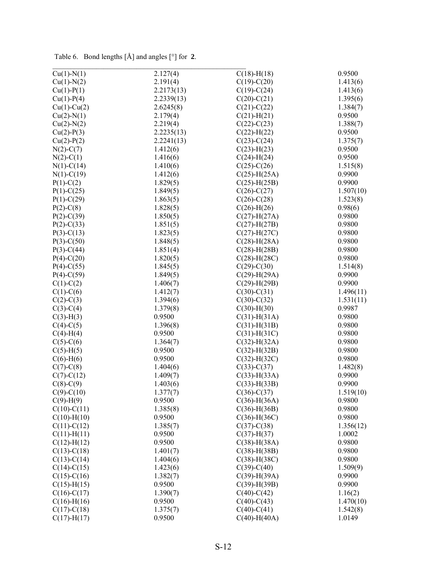| Table 6. Bond lengths $[\hat{A}]$ and angles $[°]$ for 2. |  |
|-----------------------------------------------------------|--|

| $Cu(1)-N(1)$      | 2.127(4)   | $C(18)$ -H $(18)$  | 0.9500    |
|-------------------|------------|--------------------|-----------|
| $Cu(1)-N(2)$      | 2.191(4)   | $C(19)-C(20)$      | 1.413(6)  |
| $Cu(1)-P(1)$      | 2.2173(13) | $C(19)-C(24)$      | 1.413(6)  |
| $Cu(1)-P(4)$      | 2.2339(13) | $C(20)-C(21)$      | 1.395(6)  |
| $Cu(1)-Cu(2)$     | 2.6245(8)  | $C(21)-C(22)$      | 1.384(7)  |
| $Cu(2)-N(1)$      | 2.179(4)   | $C(21)$ -H $(21)$  | 0.9500    |
| $Cu(2)-N(2)$      | 2.219(4)   | $C(22) - C(23)$    | 1.388(7)  |
| $Cu(2)-P(3)$      | 2.2235(13) | $C(22)$ -H $(22)$  | 0.9500    |
| $Cu(2)-P(2)$      | 2.2241(13) | $C(23)-C(24)$      | 1.375(7)  |
| $N(2)-C(7)$       | 1.412(6)   | $C(23)$ -H $(23)$  | 0.9500    |
| $N(2)-C(1)$       | 1.416(6)   | $C(24)$ -H $(24)$  | 0.9500    |
| $N(1)-C(14)$      | 1.410(6)   | $C(25)-C(26)$      | 1.515(8)  |
| $N(1)-C(19)$      | 1.412(6)   | $C(25)$ -H $(25A)$ | 0.9900    |
| $P(1)-C(2)$       | 1.829(5)   | $C(25)$ -H $(25B)$ | 0.9900    |
| $P(1)-C(25)$      | 1.849(5)   | $C(26) - C(27)$    | 1.507(10) |
| $P(1)-C(29)$      | 1.863(5)   | $C(26)-C(28)$      | 1.523(8)  |
| $P(2)-C(8)$       | 1.828(5)   | $C(26)$ -H $(26)$  | 0.98(6)   |
| $P(2) - C(39)$    | 1.850(5)   | $C(27)$ -H $(27A)$ | 0.9800    |
| $P(2)-C(33)$      | 1.851(5)   | $C(27)$ -H $(27B)$ | 0.9800    |
| $P(3)-C(13)$      | 1.823(5)   | $C(27)$ -H $(27C)$ | 0.9800    |
| $P(3)-C(50)$      | 1.848(5)   | $C(28)$ -H $(28A)$ | 0.9800    |
| $P(3)-C(44)$      | 1.851(4)   | $C(28)$ -H $(28B)$ | 0.9800    |
| $P(4)-C(20)$      | 1.820(5)   | $C(28)$ -H $(28C)$ | 0.9800    |
| $P(4)-C(55)$      | 1.845(5)   | $C(29) - C(30)$    | 1.514(8)  |
| $P(4)-C(59)$      | 1.849(5)   | $C(29)$ -H $(29A)$ | 0.9900    |
| $C(1)-C(2)$       | 1.406(7)   | $C(29)$ -H $(29B)$ | 0.9900    |
| $C(1)-C(6)$       | 1.412(7)   | $C(30)-C(31)$      | 1.496(11) |
| $C(2) - C(3)$     | 1.394(6)   | $C(30)-C(32)$      | 1.531(11) |
| $C(3)-C(4)$       | 1.379(8)   | $C(30)$ -H $(30)$  | 0.9987    |
| $C(3)-H(3)$       | 0.9500     | $C(31)$ -H $(31A)$ | 0.9800    |
| $C(4)-C(5)$       | 1.396(8)   | $C(31)$ -H $(31B)$ | 0.9800    |
| $C(4)$ -H(4)      | 0.9500     | $C(31)$ -H $(31C)$ | 0.9800    |
| $C(5)-C(6)$       | 1.364(7)   | $C(32)$ -H $(32A)$ | 0.9800    |
| $C(5)-H(5)$       | 0.9500     | $C(32)$ -H $(32B)$ | 0.9800    |
| $C(6)-H(6)$       | 0.9500     | $C(32)$ -H $(32C)$ | 0.9800    |
| $C(7)$ - $C(8)$   | 1.404(6)   | $C(33)-C(37)$      | 1.482(8)  |
| $C(7) - C(12)$    | 1.409(7)   | $C(33)$ -H(33A)    | 0.9900    |
| $C(8)-C(9)$       | 1.403(6)   | $C(33)$ -H $(33B)$ | 0.9900    |
| $C(9) - C(10)$    | 1.377(7)   | $C(36)-C(37)$      | 1.519(10) |
| $C(9)-H(9)$       | 0.9500     | $C(36)$ -H $(36A)$ | 0.9800    |
| $C(10)-C(11)$     | 1.385(8)   | $C(36)$ -H $(36B)$ | 0.9800    |
| $C(10)$ -H $(10)$ | 0.9500     | $C(36)$ -H $(36C)$ | 0.9800    |
| $C(11)-C(12)$     | 1.385(7)   | $C(37) - C(38)$    | 1.356(12) |
| $C(11)$ -H $(11)$ | 0.9500     | $C(37)$ -H $(37)$  | 1.0002    |
| $C(12)$ -H $(12)$ | 0.9500     | $C(38) - H(38A)$   | 0.9800    |
| $C(13)-C(18)$     | 1.401(7)   | $C(38) - H(38B)$   | 0.9800    |
| $C(13)-C(14)$     | 1.404(6)   | $C(38)$ -H $(38C)$ | 0.9800    |
| $C(14)-C(15)$     | 1.423(6)   | $C(39) - C(40)$    | 1.509(9)  |
| $C(15)-C(16)$     | 1.382(7)   | $C(39)$ -H(39A)    | 0.9900    |
| $C(15)$ -H $(15)$ | 0.9500     | $C(39)$ -H(39B)    | 0.9900    |
| $C(16)-C(17)$     | 1.390(7)   | $C(40)$ - $C(42)$  | 1.16(2)   |
| $C(16)$ -H $(16)$ | 0.9500     | $C(40)$ -C $(43)$  | 1.470(10) |
| $C(17)-C(18)$     | 1.375(7)   | $C(40)-C(41)$      | 1.542(8)  |
| $C(17)$ -H $(17)$ | 0.9500     | $C(40)$ -H(40A)    | 1.0149    |
|                   |            |                    |           |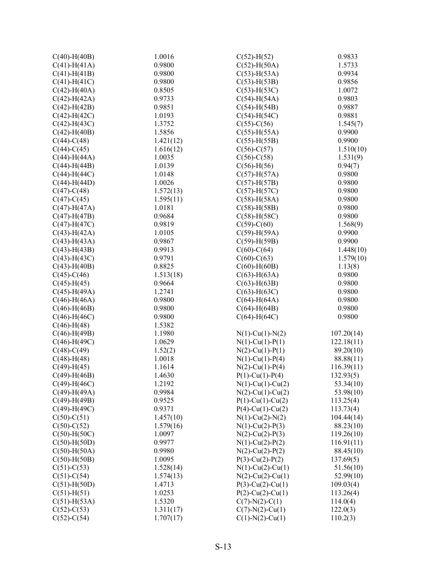| $C(40)$ -H $(40B)$ | 1.0016    | $C(52)$ -H $(52)$     | 0.9833     |
|--------------------|-----------|-----------------------|------------|
| $C(41)$ -H(41A)    | 0.9800    | $C(52)$ -H(50A)       | 1.5733     |
| $C(41)$ -H $(41B)$ | 0.9800    | $C(53)$ -H(53A)       | 0.9934     |
| $C(41)$ -H $(41C)$ | 0.9800    | $C(53)$ -H $(53B)$    | 0.9856     |
| $C(42)$ -H(40A)    | 0.8505    | $C(53)$ -H(53C)       | 1.0072     |
| $C(42)$ -H(42A)    | 0.9733    | $C(54)$ -H $(54A)$    | 0.9803     |
| $C(42)$ -H $(42B)$ | 0.9851    | $C(54)$ -H $(54B)$    | 0.9887     |
| $C(42)$ -H $(42C)$ | 1.0193    | $C(54)$ -H $(54C)$    | 0.9881     |
| $C(42)$ -H(43C)    | 1.3752    | $C(55)-C(56)$         | 1.545(7)   |
| $C(42)$ -H(40B)    | 1.5856    | $C(55)$ -H $(55A)$    | 0.9900     |
| $C(44)-C(48)$      | 1.421(12) | $C(55)$ -H $(55B)$    | 0.9900     |
| $C(44) - C(45)$    | 1.616(12) | $C(56)-C(57)$         | 1.510(10)  |
| $C(44)$ -H(44A)    | 1.0035    | $C(56)-C(58)$         | 1.531(9)   |
| $C(44)$ -H $(44B)$ | 1.0139    | $C(56)$ -H $(56)$     | 0.94(7)    |
| $C(44)$ -H $(44C)$ | 1.0148    | $C(57)$ -H(57A)       | 0.9800     |
| $C(44)$ -H $(44D)$ | 1.0026    | $C(57)$ -H $(57B)$    | 0.9800     |
| $C(47)$ -C $(48)$  | 1.572(13) | $C(57)$ -H $(57C)$    | 0.9800     |
| $C(47) - C(45)$    | 1.595(11) | $C(58)$ -H $(58A)$    | 0.9800     |
| $C(47)$ -H $(47A)$ | 1.0181    | $C(58)$ -H $(58B)$    | 0.9800     |
| $C(47)$ -H $(47B)$ | 0.9684    | $C(58)$ -H $(58C)$    | 0.9800     |
| $C(47)$ -H $(47C)$ | 0.9819    | $C(59) - C(60)$       | 1.568(9)   |
| $C(43)$ -H(42A)    | 1.0105    | $C(59)$ -H(59A)       | 0.9900     |
| $C(43)$ -H(43A)    | 0.9867    | $C(59)$ -H $(59B)$    | 0.9900     |
| $C(43)$ -H $(43B)$ | 0.9913    | $C(60)$ - $C(64)$     | 1.448(10)  |
| $C(43)$ -H $(43C)$ | 0.9791    | $C(60)$ -C $(63)$     | 1.579(10)  |
| $C(43)$ -H $(40B)$ | 0.8825    | $C(60)$ -H $(60B)$    | 1.13(8)    |
| $C(45) - C(46)$    | 1.513(18) | $C(63)$ -H $(63A)$    | 0.9800     |
| $C(45)$ -H $(45)$  | 0.9664    | $C(63)$ -H $(63B)$    | 0.9800     |
| $C(45)$ -H(49A)    | 1.2741    | $C(63)$ -H $(63C)$    | 0.9800     |
| $C(46)$ -H $(46A)$ | 0.9800    | $C(64)$ -H $(64A)$    | 0.9800     |
| $C(46)$ -H $(46B)$ | 0.9800    | $C(64)$ -H $(64B)$    | 0.9800     |
| $C(46)$ -H $(46C)$ | 0.9800    | $C(64)$ -H $(64C)$    | 0.9800     |
| $C(46)$ -H $(48)$  | 1.5382    |                       |            |
| $C(46)$ -H(49B)    | 1.1980    | $N(1)$ -Cu(1)- $N(2)$ | 107.20(14) |
| $C(46)$ -H $(49C)$ | 1.0629    | $N(1)$ -Cu(1)-P(1)    | 122.18(11) |
| $C(48)$ -C $(49)$  | 1.52(2)   | $N(2)$ -Cu(1)-P(1)    | 89.20(10)  |
| $C(48)$ -H $(48)$  | 1.0018    | $N(1)$ -Cu(1)-P(4)    | 88.88(11)  |
| $C(49)$ -H $(45)$  | 1.1614    | $N(2)$ -Cu(1)-P(4)    | 116.39(11) |
| $C(49)$ -H $(46B)$ | 1.4630    | $P(1)$ -Cu(1)-P(4)    | 132.93(5)  |
| $C(49)$ -H $(46C)$ | 1.2192    | $N(1)$ -Cu(1)-Cu(2)   | 53.34(10)  |
| $C(49)$ -H(49A)    | 0.9984    | $N(2)$ -Cu(1)-Cu(2)   | 53.98(10)  |
| $C(49)$ -H $(49B)$ | 0.9525    | $P(1)$ -Cu(1)-Cu(2)   | 113.25(4)  |
| $C(49)$ -H $(49C)$ | 0.9371    | $P(4)$ -Cu(1)-Cu(2)   | 113.73(4)  |
| $C(50)-C(51)$      | 1.457(10) | $N(1)$ -Cu(2)- $N(2)$ | 104.44(14) |
| $C(50)-C(52)$      | 1.579(16) | $N(1)$ -Cu(2)-P(3)    | 88.23(10)  |
| $C(50)$ -H $(50C)$ | 1.0097    | $N(2)$ -Cu(2)-P(3)    | 119.26(10) |
|                    | 0.9977    |                       |            |
| $C(50)$ -H $(50D)$ | 0.9980    | $N(1)$ -Cu(2)-P(2)    | 116.91(11) |
| $C(50)$ -H $(50A)$ |           | $N(2)$ -Cu(2)-P(2)    | 88.45(10)  |
| $C(50)$ -H $(50B)$ | 1.0095    | $P(3)-Cu(2)-P(2)$     | 137.69(5)  |
| $C(51)-C(53)$      | 1.528(14) | $N(1)$ -Cu(2)-Cu(1)   | 51.56(10)  |
| $C(51)-C(54)$      | 1.574(13) | $N(2)$ -Cu(2)-Cu(1)   | 52.99(10)  |
| $C(51)$ -H $(50D)$ | 1.4713    | $P(3)$ -Cu(2)-Cu(1)   | 109.03(4)  |
| $C(51)$ -H $(51)$  | 1.0253    | $P(2)$ -Cu(2)-Cu(1)   | 113.26(4)  |
| $C(51)$ -H(53A)    | 1.5320    | $C(7)-N(2)-C(1)$      | 114.0(4)   |
| $C(52) - C(53)$    | 1.311(17) | $C(7)$ -N(2)-Cu(1)    | 122.0(3)   |
| $C(52) - C(54)$    | 1.707(17) | $C(1)$ -N(2)-Cu(1)    | 110.2(3)   |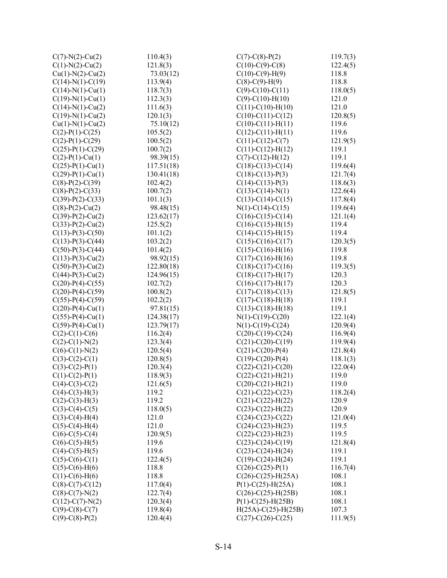| $C(7)-N(2)-Cu(2)$      | 110.4(3)   | $C(7)$ -C(8)-P(2)           | 119.7(3) |
|------------------------|------------|-----------------------------|----------|
| $C(1)-N(2)-Cu(2)$      | 121.8(3)   | $C(10)-C(9)-C(8)$           | 122.4(5) |
| $Cu(1)-N(2)-Cu(2)$     | 73.03(12)  | $C(10)-C(9)-H(9)$           | 118.8    |
| $C(14)-N(1)-C(19)$     | 113.9(4)   | $C(8)-C(9)-H(9)$            | 118.8    |
| $C(14)-N(1)-Cu(1)$     | 118.7(3)   | $C(9)-C(10)-C(11)$          | 118.0(5) |
| $C(19)-N(1)-Cu(1)$     | 112.3(3)   | $C(9)$ - $C(10)$ - $H(10)$  | 121.0    |
| $C(14)-N(1)-Cu(2)$     | 111.6(3)   | $C(11)-C(10)-H(10)$         | 121.0    |
| $C(19)-N(1)-Cu(2)$     | 120.1(3)   | $C(10)-C(11)-C(12)$         | 120.8(5) |
| $Cu(1)-N(1)-Cu(2)$     | 75.10(12)  | $C(10)-C(11)-H(11)$         | 119.6    |
| $C(2)-P(1)-C(25)$      | 105.5(2)   | $C(12)-C(11)-H(11)$         | 119.6    |
| $C(2)$ -P(1)-C(29)     | 100.5(2)   | $C(11)-C(12)-C(7)$          | 121.9(5) |
| $C(25) - P(1) - C(29)$ | 100.7(2)   | $C(11)-C(12)-H(12)$         | 119.1    |
| $C(2)$ -P(1)-Cu(1)     | 98.39(15)  | $C(7)$ - $C(12)$ - $H(12)$  | 119.1    |
| $C(25) - P(1) - Cu(1)$ | 117.51(18) | $C(18)-C(13)-C(14)$         | 119.6(4) |
| $C(29) - P(1) - Cu(1)$ | 130.41(18) | $C(18)-C(13)-P(3)$          | 121.7(4) |
| $C(8)-P(2)-C(39)$      | 102.4(2)   | $C(14)-C(13)-P(3)$          | 118.6(3) |
| $C(8)-P(2)-C(33)$      | 100.7(2)   | $C(13)-C(14)-N(1)$          | 122.6(4) |
| $C(39) - P(2) - C(33)$ | 101.1(3)   | $C(13)-C(14)-C(15)$         | 117.8(4) |
| $C(8)-P(2)-Cu(2)$      | 98.48(15)  | $N(1)-C(14)-C(15)$          | 119.6(4) |
| $C(39) - P(2) - Cu(2)$ | 123.62(17) | $C(16)-C(15)-C(14)$         | 121.1(4) |
| $C(33) - P(2) - Cu(2)$ | 125.5(2)   | $C(16)-C(15)-H(15)$         | 119.4    |
| $C(13)$ -P(3)-C(50)    | 101.1(2)   | $C(14)-C(15)-H(15)$         | 119.4    |
| $C(13) - P(3) - C(44)$ | 103.2(2)   | $C(15)-C(16)-C(17)$         | 120.3(5) |
| $C(50)$ -P(3)-C(44)    | 101.4(2)   | $C(15)-C(16)-H(16)$         | 119.8    |
| $C(13) - P(3) - Cu(2)$ | 98.92(15)  | $C(17)-C(16)-H(16)$         | 119.8    |
| $C(50) - P(3) - Cu(2)$ | 122.80(18) | $C(18)-C(17)-C(16)$         | 119.3(5) |
| $C(44) - P(3) - Cu(2)$ | 124.96(15) | $C(18)-C(17)-H(17)$         | 120.3    |
| $C(20)$ -P(4)-C(55)    | 102.7(2)   | $C(16)-C(17)-H(17)$         | 120.3    |
| $C(20)$ -P(4)-C(59)    | 100.8(2)   | $C(17)-C(18)-C(13)$         | 121.8(5) |
| $C(55) - P(4) - C(59)$ | 102.2(2)   | $C(17)-C(18)-H(18)$         | 119.1    |
| $C(20) - P(4) - Cu(1)$ | 97.81(15)  | $C(13)-C(18)-H(18)$         | 119.1    |
| $C(55) - P(4) - Cu(1)$ | 124.38(17) | $N(1)-C(19)-C(20)$          | 122.1(4) |
| $C(59) - P(4) - Cu(1)$ | 123.79(17) | $N(1)-C(19)-C(24)$          | 120.9(4) |
| $C(2)$ -C(1)-C(6)      | 116.2(4)   | $C(20)-C(19)-C(24)$         | 116.9(4) |
| $C(2)$ -C(1)-N(2)      | 123.3(4)   | $C(21)$ -C(20)-C(19)        | 119.9(4) |
| $C(6)-C(1)-N(2)$       | 120.5(4)   | $C(21)$ -C(20)-P(4)         | 121.8(4) |
| $C(3)-C(2)-C(1)$       | 120.8(5)   | $C(19) - C(20) - P(4)$      | 118.1(3) |
| $C(3)-C(2)-P(1)$       | 120.3(4)   | $C(22)$ -C $(21)$ -C $(20)$ | 122.0(4) |
| $C(1)-C(2)-P(1)$       | 118.9(3)   | $C(22)$ -C(21)-H(21)        | 119.0    |
| $C(4)-C(3)-C(2)$       | 121.6(5)   | $C(20)$ - $C(21)$ - $H(21)$ | 119.0    |
| $C(4)-C(3)-H(3)$       | 119.2      | $C(21)-C(22)-C(23)$         | 118.2(4) |
| $C(2)-C(3)-H(3)$       | 119.2      | $C(21)-C(22)-H(22)$         | 120.9    |
| $C(3)-C(4)-C(5)$       | 118.0(5)   | $C(23)-C(22)-H(22)$         | 120.9    |
| $C(3)-C(4)-H(4)$       | 121.0      | $C(24)-C(23)-C(22)$         | 121.0(4) |
| $C(5)-C(4)-H(4)$       | 121.0      | $C(24)-C(23)-H(23)$         | 119.5    |
| $C(6)-C(5)-C(4)$       | 120.9(5)   | $C(22) - C(23) - H(23)$     | 119.5    |
| $C(6)-C(5)-H(5)$       | 119.6      | $C(23)-C(24)-C(19)$         | 121.8(4) |
| $C(4)$ -C(5)-H(5)      | 119.6      | $C(23)-C(24)-H(24)$         | 119.1    |
| $C(5)-C(6)-C(1)$       | 122.4(5)   | $C(19)-C(24)-H(24)$         | 119.1    |
| $C(5)-C(6)-H(6)$       | 118.8      | $C(26)-C(25)-P(1)$          | 116.7(4) |
| $C(1)-C(6)-H(6)$       | 118.8      | $C(26) - C(25) - H(25A)$    | 108.1    |
| $C(8)-C(7)-C(12)$      | 117.0(4)   | $P(1) - C(25) - H(25A)$     | 108.1    |
| $C(8)-C(7)-N(2)$       | 122.7(4)   | $C(26)-C(25)-H(25B)$        | 108.1    |
|                        | 120.3(4)   | $P(1) - C(25) - H(25B)$     | 108.1    |
| $C(12)-C(7)-N(2)$      |            |                             | 107.3    |
| $C(9)$ -C(8)-C(7)      | 119.8(4)   | $H(25A) - C(25) - H(25B)$   |          |
| $C(9)$ -C(8)-P(2)      | 120.4(4)   | $C(27)$ -C(26)-C(25)        | 111.9(5) |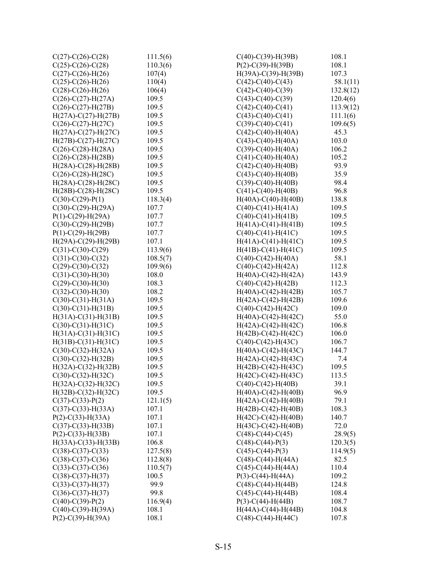| $C(27)$ -C $(26)$ -C $(28)$  | 111.5(6) | $C(40)$ - $C(39)$ -H(39B)    | 108.1     |
|------------------------------|----------|------------------------------|-----------|
| $C(25)$ -C(26)-C(28)         | 110.3(6) | $P(2) - C(39) - H(39B)$      | 108.1     |
| $C(27)$ -C(26)-H(26)         | 107(4)   | $H(39A)-C(39)-H(39B)$        | 107.3     |
| $C(25)$ -C $(26)$ -H $(26)$  | 110(4)   | $C(42)$ -C(40)-C(43)         | 58.1(11)  |
| $C(28)-C(26)-H(26)$          | 106(4)   | $C(42)$ -C $(40)$ -C $(39)$  | 132.8(12) |
| $C(26)$ -C(27)-H(27A)        | 109.5    | $C(43)$ -C(40)-C(39)         | 120.4(6)  |
| $C(26)$ -C $(27)$ -H $(27B)$ | 109.5    | $C(42)$ -C(40)-C(41)         | 113.9(12) |
| $H(27A) - C(27) - H(27B)$    | 109.5    | $C(43)$ -C(40)-C(41)         | 111.1(6)  |
| $C(26)-C(27)-H(27C)$         | 109.5    | $C(39)$ -C(40)-C(41)         | 109.6(5)  |
| $H(27A) - C(27) - H(27C)$    | 109.5    | $C(42)$ - $C(40)$ - $H(40A)$ | 45.3      |
| $H(27B) - C(27) - H(27C)$    | 109.5    | $C(43)$ - $C(40)$ - $H(40A)$ | 103.0     |
| $C(26)$ -C(28)-H(28A)        | 109.5    | $C(39)$ - $C(40)$ -H(40A)    | 106.2     |
| $C(26)$ -C $(28)$ -H $(28B)$ | 109.5    | $C(41) - C(40) - H(40A)$     | 105.2     |
| $H(28A)-C(28)-H(28B)$        | 109.5    | $C(42)$ - $C(40)$ - $H(40B)$ | 93.9      |
| $C(26)-C(28)-H(28C)$         | 109.5    | $C(43)$ - $C(40)$ - $H(40B)$ | 35.9      |
| $H(28A)-C(28)-H(28C)$        | 109.5    | $C(39)$ - $C(40)$ - $H(40B)$ | 98.4      |
| $H(28B) - C(28) - H(28C)$    | 109.5    | $C(41)$ - $C(40)$ - $H(40B)$ | 96.8      |
| $C(30)-C(29)-P(1)$           | 118.3(4) | $H(40A)-C(40)-H(40B)$        | 138.8     |
| $C(30)$ - $C(29)$ -H(29A)    | 107.7    | $C(40)$ - $C(41)$ -H $(41A)$ | 109.5     |
| $P(1)$ -C(29)-H(29A)         | 107.7    | $C(40)$ - $C(41)$ - $H(41B)$ | 109.5     |
| $C(30)$ - $C(29)$ -H $(29B)$ | 107.7    | $H(41A)-C(41)-H(41B)$        | 109.5     |
| $P(1) - C(29) - H(29B)$      | 107.7    | $C(40)$ - $C(41)$ - $H(41C)$ | 109.5     |
| $H(29A)-C(29)-H(29B)$        | 107.1    | $H(41A)-C(41)-H(41C)$        | 109.5     |
| $C(31)-C(30)-C(29)$          | 113.9(6) | $H(41B)-C(41)-H(41C)$        | 109.5     |
| $C(31) - C(30) - C(32)$      | 108.5(7) | $C(40)$ - $C(42)$ -H(40A)    | 58.1      |
| $C(29)$ -C(30)-C(32)         | 109.9(6) | $C(40)$ - $C(42)$ -H $(42A)$ | 112.8     |
| $C(31)-C(30)-H(30)$          | 108.0    | $H(40A)-C(42)-H(42A)$        | 143.9     |
| $C(29)$ -C(30)-H(30)         | 108.3    | $C(40)$ - $C(42)$ -H $(42B)$ | 112.3     |
| $C(32)$ - $C(30)$ - $H(30)$  | 108.2    | $H(40A)-C(42)-H(42B)$        | 105.7     |
| $C(30)-C(31)-H(31A)$         | 109.5    | $H(42A)-C(42)-H(42B)$        | 109.6     |
| $C(30)-C(31)-H(31B)$         | 109.5    | $C(40)$ -C(42)-H(42C)        | 109.0     |
| $H(31A) - C(31) - H(31B)$    | 109.5    | $H(40A)-C(42)-H(42C)$        | 55.0      |
| $C(30)-C(31)-H(31C)$         | 109.5    | $H(42A)-C(42)-H(42C)$        | 106.8     |
| $H(31A)-C(31)-H(31C)$        | 109.5    | $H(42B) - C(42) - H(42C)$    | 106.0     |
| $H(31B) - C(31) - H(31C)$    | 109.5    | $C(40)$ -C(42)-H(43C)        | 106.7     |
| $C(30) - C(32) - H(32A)$     | 109.5    | $H(40A)-C(42)-H(43C)$        | 144.7     |
| $C(30) - C(32) - H(32B)$     | 109.5    | $H(42A)-C(42)-H(43C)$        | 7.4       |
| $H(32A) - C(32) - H(32B)$    | 109.5    | $H(42B) - C(42) - H(43C)$    | 109.5     |
| $C(30)-C(32)-H(32C)$         | 109.5    | $H(42C) - C(42) - H(43C)$    | 113.5     |
| $H(32A)-C(32)-H(32C)$        | 109.5    | $C(40)$ - $C(42)$ -H $(40B)$ | 39.1      |
| $H(32B) - C(32) - H(32C)$    | 109.5    | $H(40A) - C(42) - H(40B)$    | 96.9      |
| $C(37) - C(33) - P(2)$       | 121.1(5) | $H(42A)-C(42)-H(40B)$        | 79.1      |
| $C(37)$ -C(33)-H(33A)        | 107.1    | $H(42B) - C(42) - H(40B)$    | 108.3     |
| $P(2) - C(33) - H(33A)$      | 107.1    | $H(42C) - C(42) - H(40B)$    | 140.7     |
| $C(37)$ - $C(33)$ -H $(33B)$ | 107.1    | $H(43C) - C(42) - H(40B)$    | 72.0      |
| $P(2) - C(33) - H(33B)$      | 107.1    | $C(48)$ -C $(44)$ -C $(45)$  | 28.9(5)   |
| $H(33A)-C(33)-H(33B)$        | 106.8    | $C(48)$ -C $(44)$ -P $(3)$   | 120.3(5)  |
| $C(38)$ -C(37)-C(33)         | 127.5(8) | $C(45) - C(44) - P(3)$       | 114.9(5)  |
| $C(38)-C(37)-C(36)$          | 112.8(8) | $C(48)$ -C(44)-H(44A)        | 82.5      |
| $C(33)-C(37)-C(36)$          | 110.5(7) | $C(45)$ - $C(44)$ -H $(44A)$ | 110.4     |
| $C(38)-C(37)-H(37)$          | 100.5    | $P(3)-C(44)-H(44A)$          | 109.2     |
| $C(33)-C(37)-H(37)$          | 99.9     | $C(48)$ - $C(44)$ -H $(44B)$ | 124.8     |
| $C(36)-C(37)-H(37)$          | 99.8     | $C(45)$ -C $(44)$ -H $(44B)$ | 108.4     |
| $C(40)$ - $C(39)$ - $P(2)$   | 116.9(4) | $P(3)-C(44)-H(44B)$          | 108.7     |
| $C(40)$ - $C(39)$ -H(39A)    | 108.1    | $H(44A)-C(44)-H(44B)$        | 104.8     |
| $P(2) - C(39) - H(39A)$      | 108.1    | $C(48)$ -C(44)-H(44C)        | 107.8     |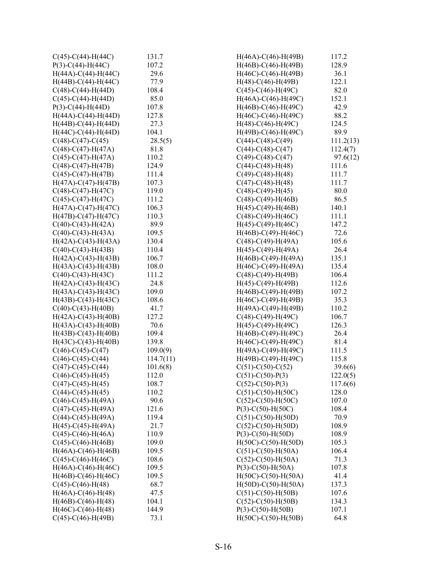| $C(45)-C(44)-H(44C)$         | 131.7     | $H(46A) - C(46) - H(49B)$    | 117.2     |
|------------------------------|-----------|------------------------------|-----------|
| $P(3)-C(44)-H(44C)$          | 107.2     | $H(46B) - C(46) - H(49B)$    | 128.9     |
| $H(44A)-C(44)-H(44C)$        | 29.6      | $H(46C) - C(46) - H(49B)$    | 36.1      |
| $H(44B)-C(44)-H(44C)$        | 77.9      | $H(48)$ -C(46)-H(49B)        | 122.1     |
| $C(48)$ -C(44)-H(44D)        | 108.4     | $C(45)$ -C(46)-H(49C)        | 82.0      |
| $C(45)$ -C $(44)$ -H $(44D)$ | 85.0      | $H(46A)-C(46)-H(49C)$        | 152.1     |
| $P(3)-C(44)-H(44D)$          | 107.8     | $H(46B) - C(46) - H(49C)$    | 42.9      |
| $H(44A) - C(44) - H(44D)$    | 127.8     | $H(46C) - C(46) - H(49C)$    | 88.2      |
| $H(44B) - C(44) - H(44D)$    | 27.3      | $H(48)$ -C(46)-H(49C)        | 124.5     |
| $H(44C) - C(44) - H(44D)$    | 104.1     | $H(49B) - C(46) - H(49C)$    | 89.9      |
| $C(48)$ -C $(47)$ -C $(45)$  | 28.5(5)   | $C(44)$ -C(48)-C(49)         | 111.2(13) |
| $C(48)$ -C(47)-H(47A)        | 81.8      | $C(44)$ -C $(48)$ -C $(47)$  | 112.4(7)  |
| $C(45)$ -C $(47)$ -H $(47A)$ | 110.2     | $C(49)$ -C $(48)$ -C $(47)$  | 97.6(12)  |
| $C(48)$ -C(47)-H(47B)        | 124.9     | $C(44)-C(48)-H(48)$          | 111.6     |
| $C(45)$ -C $(47)$ -H $(47B)$ | 111.4     | $C(49)$ -C $(48)$ -H $(48)$  | 111.7     |
| $H(47A) - C(47) - H(47B)$    | 107.3     | $C(47)$ -C(48)-H(48)         | 111.7     |
| $C(48)$ -C(47)-H(47C)        | 119.0     | $C(48)$ -C(49)-H(45)         | 80.0      |
| $C(45)$ -C(47)-H(47C)        | 111.2     | $C(48)$ -C(49)-H(46B)        | 86.5      |
| $H(47A)-C(47)-H(47C)$        | 106.3     | $H(45)$ -C(49)-H(46B)        | 140.1     |
| $H(47B) - C(47) - H(47C)$    | 110.3     | $C(48)$ -C(49)-H(46C)        | 111.1     |
| $C(40)$ -C(43)-H(42A)        | 89.9      | $H(45)-C(49)-H(46C)$         | 147.2     |
| $C(40)$ -C(43)-H(43A)        | 109.5     | $H(46B) - C(49) - H(46C)$    | 72.6      |
| $H(42A) - C(43) - H(43A)$    | 130.4     | $C(48)$ -C(49)-H(49A)        | 105.6     |
| $C(40)$ -C(43)-H(43B)        | 110.4     | $H(45)$ -C(49)-H(49A)        | 26.4      |
| $H(42A)-C(43)-H(43B)$        | 106.7     | $H(46B) - C(49) - H(49A)$    | 135.1     |
| $H(43A)-C(43)-H(43B)$        | 108.0     | $H(46C) - C(49) - H(49A)$    | 135.4     |
| $C(40)$ -C(43)-H(43C)        | 111.2     | $C(48)$ - $C(49)$ -H(49B)    | 106.4     |
| $H(42A)-C(43)-H(43C)$        | 24.8      | $H(45) - C(49) - H(49B)$     | 112.6     |
| $H(43A)-C(43)-H(43C)$        | 109.0     | $H(46B) - C(49) - H(49B)$    | 107.2     |
| $H(43B) - C(43) - H(43C)$    | 108.6     | $H(46C) - C(49) - H(49B)$    | 35.3      |
| $C(40)$ - $C(43)$ -H $(40B)$ | 41.7      | $H(49A)-C(49)-H(49B)$        | 110.2     |
| $H(42A) - C(43) - H(40B)$    | 127.2     | $C(48)$ -C(49)-H(49C)        | 106.7     |
| $H(43A) - C(43) - H(40B)$    | 70.6      | $H(45)-C(49)-H(49C)$         | 126.3     |
| $H(43B) - C(43) - H(40B)$    | 109.4     | $H(46B) - C(49) - H(49C)$    | 26.4      |
| $H(43C) - C(43) - H(40B)$    | 139.8     | $H(46C) - C(49) - H(49C)$    | 81.4      |
| $C(46)$ -C(45)-C(47)         | 109.0(9)  | $H(49A)-C(49)-H(49C)$        | 111.5     |
| $C(46)$ -C(45)-C(44)         | 114.7(11) | $H(49B)-C(49)-H(49C)$        | 115.8     |
| $C(47)$ -C(45)-C(44)         | 101.6(8)  | $C(51)$ -C(50)-C(52)         | 39.6(6)   |
| $C(46)$ -C(45)-H(45)         | 112.0     | $C(51) - C(50) - P(3)$       | 122.0(5)  |
| $C(47)$ -C(45)-H(45)         | 108.7     | $C(52) - C(50) - P(3)$       | 117.6(6)  |
| $C(44) - C(45) - H(45)$      | 110.2     | $C(51)$ -C(50)-H(50C)        | 128.0     |
| $C(46)$ -C(45)-H(49A)        | 90.6      | $C(52)$ - $C(50)$ - $H(50C)$ | 107.0     |
| $C(47)$ -C(45)-H(49A)        | 121.6     | $P(3)-C(50)-H(50C)$          | 108.4     |
| $C(44)$ -C(45)-H(49A)        | 119.4     | $C(51)$ - $C(50)$ - $H(50D)$ | 70.9      |
| $H(45) - C(45) - H(49A)$     | 21.7      | $C(52) - C(50) - H(50D)$     | 108.9     |
| $C(45)$ -C(46)-H(46A)        | 110.9     | $P(3)-C(50)-H(50D)$          | 108.9     |
| $C(45)$ - $C(46)$ - $H(46B)$ | 109.0     | $H(50C) - C(50) - H(50D)$    | 105.3     |
| $H(46A) - C(46) - H(46B)$    | 109.5     | $C(51) - C(50) - H(50A)$     | 106.4     |
| $C(45)$ -C(46)-H(46C)        | 108.6     | $C(52) - C(50) - H(50A)$     | 71.3      |
| $H(46A)-C(46)-H(46C)$        | 109.5     | $P(3)$ -C(50)-H(50A)         | 107.8     |
| $H(46B) - C(46) - H(46C)$    | 109.5     | $H(50C) - C(50) - H(50A)$    | 41.4      |
| $C(45)-C(46)-H(48)$          | 68.7      | $H(50D) - C(50) - H(50A)$    | 137.3     |
| $H(46A) - C(46) - H(48)$     | 47.5      | $C(51) - C(50) - H(50B)$     | 107.6     |
| $H(46B) - C(46) - H(48)$     | 104.1     | $C(52)$ - $C(50)$ -H(50B)    | 134.3     |
| $H(46C) - C(46) - H(48)$     | 144.9     | $P(3)-C(50)-H(50B)$          | 107.1     |
| $C(45)$ - $C(46)$ - $H(49B)$ | 73.1      | $H(50C) - C(50) - H(50B)$    | 64.8      |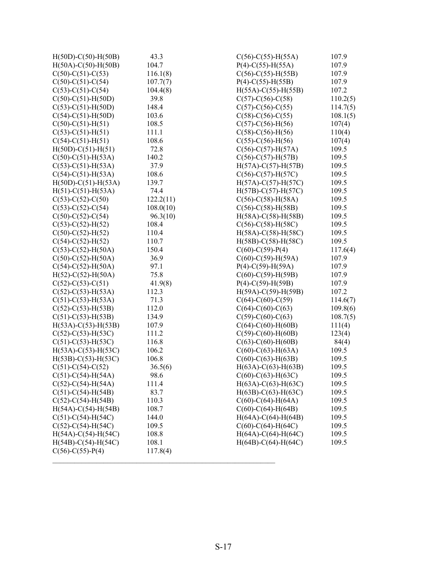| $H(50D) - C(50) - H(50B)$    | 43.3      | $C(56)-C(55)-H(55A)$         | 107.9    |
|------------------------------|-----------|------------------------------|----------|
| $H(50A)-C(50)-H(50B)$        | 104.7     | $P(4) - C(55) - H(55A)$      | 107.9    |
| $C(50)-C(51)-C(53)$          | 116.1(8)  | $C(56)-C(55)-H(55B)$         | 107.9    |
| $C(50)$ -C $(51)$ -C $(54)$  | 107.7(7)  | $P(4)$ -C(55)-H(55B)         | 107.9    |
| $C(53)-C(51)-C(54)$          | 104.4(8)  | $H(55A)-C(55)-H(55B)$        | 107.2    |
| $C(50)$ - $C(51)$ -H(50D)    | 39.8      | $C(57)$ -C(56)-C(58)         | 110.2(5) |
| $C(53)-C(51)-H(50D)$         | 148.4     | $C(57)$ -C(56)-C(55)         | 114.7(5) |
| $C(54)-C(51)-H(50D)$         | 103.6     | $C(58)$ -C(56)-C(55)         | 108.1(5) |
| $C(50)-C(51)-H(51)$          | 108.5     | $C(57)$ -C $(56)$ -H $(56)$  | 107(4)   |
| $C(53)-C(51)-H(51)$          | 111.1     | $C(58)$ -C $(56)$ -H $(56)$  | 110(4)   |
| $C(54)-C(51)-H(51)$          | 108.6     | $C(55)-C(56)-H(56)$          | 107(4)   |
| $H(50D) - C(51) - H(51)$     | 72.8      | $C(56)-C(57)-H(57A)$         | 109.5    |
| $C(50)-C(51)-H(53A)$         | 140.2     | $C(56)$ -C(57)-H(57B)        | 109.5    |
| $C(53)-C(51)-H(53A)$         | 37.9      | $H(57A)-C(57)-H(57B)$        | 109.5    |
| $C(54)-C(51)-H(53A)$         | 108.6     | $C(56)-C(57)-H(57C)$         | 109.5    |
| $H(50D) - C(51) - H(53A)$    | 139.7     | $H(57A)-C(57)-H(57C)$        | 109.5    |
| $H(51) - C(51) - H(53A)$     | 74.4      | $H(57B) - C(57) - H(57C)$    | 109.5    |
| $C(53)-C(52)-C(50)$          | 122.2(11) | $C(56)$ - $C(58)$ -H $(58A)$ | 109.5    |
| $C(53)-C(52)-C(54)$          | 108.0(10) | $C(56)-C(58)-H(58B)$         | 109.5    |
| $C(50)$ -C(52)-C(54)         | 96.3(10)  | $H(58A)-C(58)-H(58B)$        | 109.5    |
| $C(53)-C(52)-H(52)$          | 108.4     | $C(56)$ -C(58)-H(58C)        | 109.5    |
| $C(50)-C(52)-H(52)$          | 110.4     | $H(58A)-C(58)-H(58C)$        | 109.5    |
| $C(54)-C(52)-H(52)$          | 110.7     | $H(58B) - C(58) - H(58C)$    | 109.5    |
| $C(53)-C(52)-H(50A)$         | 150.4     | $C(60)$ - $C(59)$ - $P(4)$   | 117.6(4) |
| $C(50)$ - $C(52)$ -H(50A)    | 36.9      | $C(60)$ - $C(59)$ -H(59A)    | 107.9    |
| $C(54)-C(52)-H(50A)$         | 97.1      | $P(4)$ -C(59)-H(59A)         | 107.9    |
| $H(52) - C(52) - H(50A)$     | 75.8      | $C(60)$ - $C(59)$ -H(59B)    | 107.9    |
| $C(52) - C(53) - C(51)$      | 41.9(8)   | $P(4)$ -C(59)-H(59B)         | 107.9    |
| $C(52)$ -C(53)-H(53A)        | 112.3     | $H(59A)-C(59)-H(59B)$        | 107.2    |
| $C(51)$ -C(53)-H(53A)        | 71.3      | $C(64)$ -C $(60)$ -C $(59)$  | 114.6(7) |
| $C(52)$ -C(53)-H(53B)        | 112.0     | $C(64)$ -C $(60)$ -C $(63)$  | 109.8(6) |
| $C(51)$ -C $(53)$ -H $(53B)$ | 134.9     | $C(59)$ -C(60)-C(63)         | 108.7(5) |
| $H(53A) - C(53) - H(53B)$    | 107.9     | $C(64)$ - $C(60)$ - $H(60B)$ | 111(4)   |
| $C(52)$ -C(53)-H(53C)        | 111.2     | $C(59)$ - $C(60)$ - $H(60B)$ | 123(4)   |
| $C(51)$ -C(53)-H(53C)        | 116.8     | $C(63)$ - $C(60)$ - $H(60B)$ | 84(4)    |
| $H(53A)-C(53)-H(53C)$        | 106.2     | $C(60)$ - $C(63)$ - $H(63A)$ | 109.5    |
| $H(53B) - C(53) - H(53C)$    | 106.8     | $C(60)$ - $C(63)$ - $H(63B)$ | 109.5    |
| $C(51)$ -C(54)-C(52)         | 36.5(6)   | $H(63A) - C(63) - H(63B)$    | 109.5    |
| $C(51) - C(54) - H(54A)$     | 98.6      | $C(60)$ -C(63)-H(63C)        | 109.5    |
| $C(52) - C(54) - H(54A)$     | 111.4     | $H(63A)-C(63)-H(63C)$        | 109.5    |
| $C(51) - C(54) - H(54B)$     | 83.7      | $H(63B) - C(63) - H(63C)$    | 109.5    |
| $C(52)$ -C(54)-H(54B)        | 110.3     | $C(60)$ - $C(64)$ -H $(64A)$ | 109.5    |
| $H(54A)-C(54)-H(54B)$        | 108.7     | $C(60)$ - $C(64)$ -H $(64B)$ | 109.5    |
| $C(51)$ -C(54)-H(54C)        | 144.0     | $H(64A)-C(64)-H(64B)$        | 109.5    |
| $C(52)$ -C(54)-H(54C)        | 109.5     | $C(60)$ - $C(64)$ -H $(64C)$ | 109.5    |
| $H(54A)-C(54)-H(54C)$        | 108.8     | $H(64A)-C(64)-H(64C)$        | 109.5    |
| $H(54B) - C(54) - H(54C)$    | 108.1     | $H(64B)-C(64)-H(64C)$        | 109.5    |
| $C(56)-C(55)-P(4)$           | 117.8(4)  |                              |          |
|                              |           |                              |          |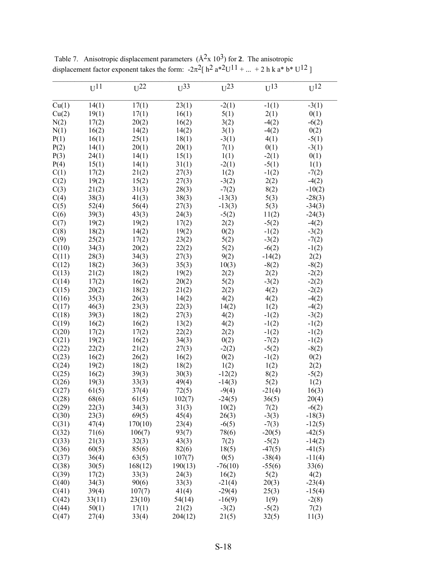|       | $U^{11}$ | $U^{22}$ | $U^{33}$ | $U^{23}$  | $U^{13}$ | $U^{12}$ |
|-------|----------|----------|----------|-----------|----------|----------|
| Cu(1) | 14(1)    | 17(1)    | 23(1)    | $-2(1)$   | $-1(1)$  | $-3(1)$  |
| Cu(2) | 19(1)    | 17(1)    | 16(1)    | 5(1)      | 2(1)     | 0(1)     |
| N(2)  | 17(2)    | 20(2)    | 16(2)    | 3(2)      | $-4(2)$  | $-6(2)$  |
| N(1)  | 16(2)    | 14(2)    | 14(2)    | 3(1)      | $-4(2)$  | 0(2)     |
| P(1)  | 16(1)    | 25(1)    | 18(1)    | $-3(1)$   | 4(1)     | $-5(1)$  |
| P(2)  | 14(1)    | 20(1)    | 20(1)    | 7(1)      | 0(1)     | $-3(1)$  |
| P(3)  | 24(1)    | 14(1)    | 15(1)    | 1(1)      | $-2(1)$  | 0(1)     |
| P(4)  | 15(1)    | 14(1)    | 31(1)    | $-2(1)$   | $-5(1)$  | 1(1)     |
| C(1)  | 17(2)    | 21(2)    | 27(3)    | 1(2)      | $-1(2)$  | $-7(2)$  |
| C(2)  | 19(2)    | 15(2)    | 27(3)    | $-3(2)$   | 2(2)     | $-4(2)$  |
| C(3)  | 21(2)    | 31(3)    | 28(3)    | $-7(2)$   | 8(2)     | $-10(2)$ |
| C(4)  | 38(3)    | 41(3)    | 38(3)    | $-13(3)$  | 5(3)     | $-28(3)$ |
| C(5)  | 52(4)    | 56(4)    | 27(3)    | $-13(3)$  | 5(3)     | $-34(3)$ |
| C(6)  | 39(3)    | 43(3)    | 24(3)    | $-5(2)$   | 11(2)    | $-24(3)$ |
| C(7)  | 19(2)    | 19(2)    | 17(2)    | 2(2)      | $-5(2)$  | $-4(2)$  |
| C(8)  | 18(2)    | 14(2)    | 19(2)    | 0(2)      | $-1(2)$  | $-3(2)$  |
| C(9)  | 25(2)    | 17(2)    | 23(2)    | 5(2)      | $-3(2)$  | $-7(2)$  |
| C(10) | 34(3)    | 20(2)    | 22(2)    | 5(2)      | $-6(2)$  | $-1(2)$  |
| C(11) | 28(3)    | 34(3)    | 27(3)    | 9(2)      | $-14(2)$ | 2(2)     |
| C(12) | 18(2)    | 36(3)    | 35(3)    | 10(3)     | $-8(2)$  | $-8(2)$  |
| C(13) | 21(2)    | 18(2)    | 19(2)    | 2(2)      | 2(2)     | $-2(2)$  |
| C(14) | 17(2)    | 16(2)    | 20(2)    | 5(2)      | $-3(2)$  | $-2(2)$  |
| C(15) | 20(2)    | 18(2)    | 21(2)    | 2(2)      | 4(2)     | $-2(2)$  |
| C(16) | 35(3)    | 26(3)    | 14(2)    | 4(2)      | 4(2)     | $-4(2)$  |
| C(17) | 46(3)    | 23(3)    | 22(3)    | 14(2)     | 1(2)     | $-4(2)$  |
| C(18) | 39(3)    | 18(2)    | 27(3)    | 4(2)      | $-1(2)$  | $-3(2)$  |
| C(19) | 16(2)    | 16(2)    | 13(2)    | 4(2)      | $-1(2)$  | $-1(2)$  |
| C(20) | 17(2)    | 17(2)    | 22(2)    | 2(2)      | $-1(2)$  | $-1(2)$  |
| C(21) | 19(2)    | 16(2)    | 34(3)    | 0(2)      | $-7(2)$  | $-1(2)$  |
| C(22) | 22(2)    | 21(2)    | 27(3)    | $-2(2)$   | $-5(2)$  | $-8(2)$  |
| C(23) | 16(2)    | 26(2)    | 16(2)    | 0(2)      | $-1(2)$  | 0(2)     |
| C(24) | 19(2)    | 18(2)    | 18(2)    | 1(2)      | 1(2)     | 2(2)     |
| C(25) | 16(2)    | 39(3)    | 30(3)    | $-12(2)$  | 8(2)     | $-5(2)$  |
| C(26) | 19(3)    | 33(3)    | 49(4)    | $-14(3)$  | 5(2)     | 1(2)     |
| C(27) | 61(5)    | 37(4)    | 72(5)    | $-9(4)$   | $-21(4)$ | 16(3)    |
| C(28) | 68(6)    | 61(5)    | 102(7)   | $-24(5)$  | 36(5)    | 20(4)    |
| C(29) | 22(3)    | 34(3)    | 31(3)    | 10(2)     | 7(2)     | $-6(2)$  |
| C(30) | 23(3)    | 69(5)    | 45(4)    | 26(3)     | $-3(3)$  | $-18(3)$ |
| C(31) | 47(4)    | 170(10)  | 23(4)    | $-6(5)$   | $-7(3)$  | $-12(5)$ |
| C(32) | 71(6)    | 106(7)   | 93(7)    | 78(6)     | $-20(5)$ | $-42(5)$ |
| C(33) | 21(3)    | 32(3)    | 43(3)    | 7(2)      | $-5(2)$  | $-14(2)$ |
| C(36) | 60(5)    | 85(6)    | 82(6)    | 18(5)     | $-47(5)$ | $-41(5)$ |
| C(37) | 36(4)    | 63(5)    | 107(7)   | 0(5)      | $-38(4)$ | $-11(4)$ |
| C(38) | 30(5)    | 168(12)  | 190(13)  | $-76(10)$ | $-55(6)$ | 33(6)    |
| C(39) | 17(2)    | 33(3)    | 24(3)    | 16(2)     | 5(2)     | 4(2)     |
| C(40) | 34(3)    | 90(6)    | 33(3)    | $-21(4)$  | 20(3)    | $-23(4)$ |
| C(41) | 39(4)    | 107(7)   | 41(4)    | $-29(4)$  | 25(3)    | $-15(4)$ |
| C(42) | 33(11)   | 23(10)   | 54(14)   | $-16(9)$  | 1(9)     | $-2(8)$  |
| C(44) | 50(1)    | 17(1)    | 21(2)    | $-3(2)$   | $-5(2)$  | 7(2)     |
| C(47) | 27(4)    | 33(4)    | 204(12)  | 21(5)     | 32(5)    | 11(3)    |
|       |          |          |          |           |          |          |

Table 7. Anisotropic displacement parameters  $(\hat{A}^2 \times 10^3)$  for 2. The anisotropic displacement factor exponent takes the form:  $-2\pi^2$ [ h<sup>2</sup> a<sup>\*2</sup>U<sup>11</sup> + ... + 2 h k a<sup>\*</sup> b<sup>\*</sup> U<sup>12</sup>]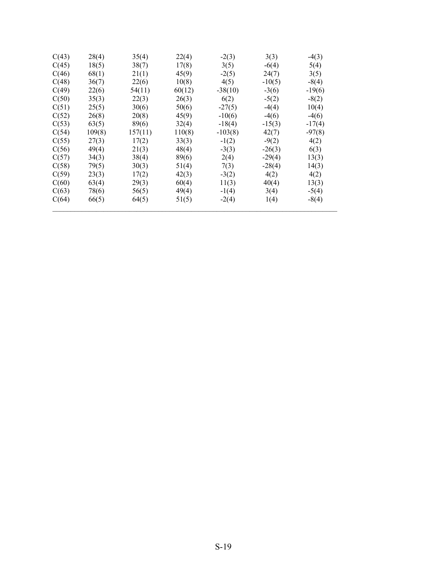| C(43) | 28(4)  | 35(4)   | 22(4)  | $-2(3)$   | 3(3)     | $-4(3)$  |
|-------|--------|---------|--------|-----------|----------|----------|
| C(45) | 18(5)  | 38(7)   | 17(8)  | 3(5)      | $-6(4)$  | 5(4)     |
| C(46) | 68(1)  | 21(1)   | 45(9)  | $-2(5)$   | 24(7)    | 3(5)     |
| C(48) | 36(7)  | 22(6)   | 10(8)  | 4(5)      | $-10(5)$ | $-8(4)$  |
| C(49) | 22(6)  | 54(11)  | 60(12) | $-38(10)$ | $-3(6)$  | $-19(6)$ |
| C(50) | 35(3)  | 22(3)   | 26(3)  | 6(2)      | $-5(2)$  | $-8(2)$  |
| C(51) | 25(5)  | 30(6)   | 50(6)  | $-27(5)$  | $-4(4)$  | 10(4)    |
| C(52) | 26(8)  | 20(8)   | 45(9)  | $-10(6)$  | $-4(6)$  | $-4(6)$  |
| C(53) | 63(5)  | 89(6)   | 32(4)  | $-18(4)$  | $-15(3)$ | $-17(4)$ |
| C(54) | 109(8) | 157(11) | 110(8) | $-103(8)$ | 42(7)    | $-97(8)$ |
| C(55) | 27(3)  | 17(2)   | 33(3)  | $-1(2)$   | $-9(2)$  | 4(2)     |
| C(56) | 49(4)  | 21(3)   | 48(4)  | $-3(3)$   | $-26(3)$ | 6(3)     |
| C(57) | 34(3)  | 38(4)   | 89(6)  | 2(4)      | $-29(4)$ | 13(3)    |
| C(58) | 79(5)  | 30(3)   | 51(4)  | 7(3)      | $-28(4)$ | 14(3)    |
| C(59) | 23(3)  | 17(2)   | 42(3)  | $-3(2)$   | 4(2)     | 4(2)     |
| C(60) | 63(4)  | 29(3)   | 60(4)  | 11(3)     | 40(4)    | 13(3)    |
| C(63) | 78(6)  | 56(5)   | 49(4)  | $-1(4)$   | 3(4)     | $-5(4)$  |
| C(64) | 66(5)  | 64(5)   | 51(5)  | $-2(4)$   | 1(4)     | $-8(4)$  |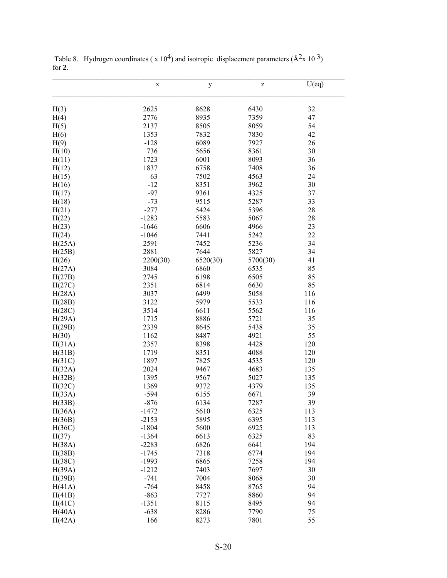|        | $\mathbf X$ | $\mathbf y$ | Z        | U(eq) |
|--------|-------------|-------------|----------|-------|
| H(3)   | 2625        | 8628        | 6430     | 32    |
| H(4)   | 2776        | 8935        | 7359     | 47    |
| H(5)   | 2137        | 8505        | 8059     | 54    |
| H(6)   | 1353        | 7832        | 7830     | 42    |
| H(9)   | $-128$      | 6089        | 7927     | 26    |
| H(10)  | 736         | 5656        | 8361     | 30    |
| H(11)  | 1723        | 6001        | 8093     | 36    |
| H(12)  | 1837        | 6758        | 7408     | 36    |
| H(15)  | 63          | 7502        | 4563     | 24    |
| H(16)  | $-12$       | 8351        | 3962     | 30    |
| H(17)  | $-97$       | 9361        | 4325     | 37    |
| H(18)  | $-73$       | 9515        | 5287     | 33    |
| H(21)  | $-277$      | 5424        | 5396     | 28    |
| H(22)  | $-1283$     | 5583        | 5067     | 28    |
| H(23)  | $-1646$     | 6606        | 4966     | 23    |
| H(24)  | $-1046$     | 7441        | 5242     | 22    |
| H(25A) | 2591        | 7452        | 5236     | 34    |
| H(25B) | 2881        | 7644        | 5827     | 34    |
| H(26)  | 2200(30)    | 6520(30)    | 5700(30) | 41    |
| H(27A) | 3084        | 6860        | 6535     | 85    |
| H(27B) | 2745        | 6198        | 6505     | 85    |
| H(27C) | 2351        | 6814        | 6630     | 85    |
| H(28A) | 3037        | 6499        | 5058     | 116   |
| H(28B) | 3122        | 5979        | 5533     | 116   |
| H(28C) | 3514        | 6611        | 5562     | 116   |
| H(29A) | 1715        | 8886        | 5721     | 35    |
| H(29B) | 2339        | 8645        | 5438     | 35    |
| H(30)  | 1162        | 8487        | 4921     | 55    |
| H(31A) | 2357        | 8398        | 4428     | 120   |
| H(31B) | 1719        | 8351        | 4088     | 120   |
| H(31C) | 1897        | 7825        | 4535     | 120   |
| H(32A) | 2024        | 9467        | 4683     | 135   |
| H(32B) | 1395        | 9567        | 5027     | 135   |
| H(32C) | 1369        | 9372        | 4379     | 135   |
| H(33A) | $-594$      | 6155        | 6671     | 39    |
| H(33B) | $-876$      | 6134        | 7287     | 39    |
| H(36A) | $-1472$     | 5610        | 6325     | 113   |
| H(36B) | $-2153$     | 5895        | 6395     | 113   |
| H(36C) | $-1804$     | 5600        | 6925     | 113   |
| H(37)  | $-1364$     | 6613        | 6325     | 83    |
| H(38A) | $-2283$     | 6826        | 6641     | 194   |
| H(38B) | $-1745$     | 7318        | 6774     | 194   |
| H(38C) | $-1993$     | 6865        | 7258     | 194   |
| H(39A) | $-1212$     | 7403        | 7697     | 30    |
| H(39B) | $-741$      | 7004        | 8068     | 30    |
| H(41A) | $-764$      | 8458        | 8765     | 94    |
| H(41B) | $-863$      | 7727        | 8860     | 94    |
| H(41C) | $-1351$     | 8115        | 8495     | 94    |
| H(40A) | $-638$      | 8286        | 7790     | 75    |
| H(42A) | 166         | 8273        | 7801     | 55    |
|        |             |             |          |       |

Table 8. Hydrogen coordinates ( $x 10<sup>4</sup>$ ) and isotropic displacement parameters ( $\AA$ <sup>2</sup>x 10<sup>3</sup>) for **2**.